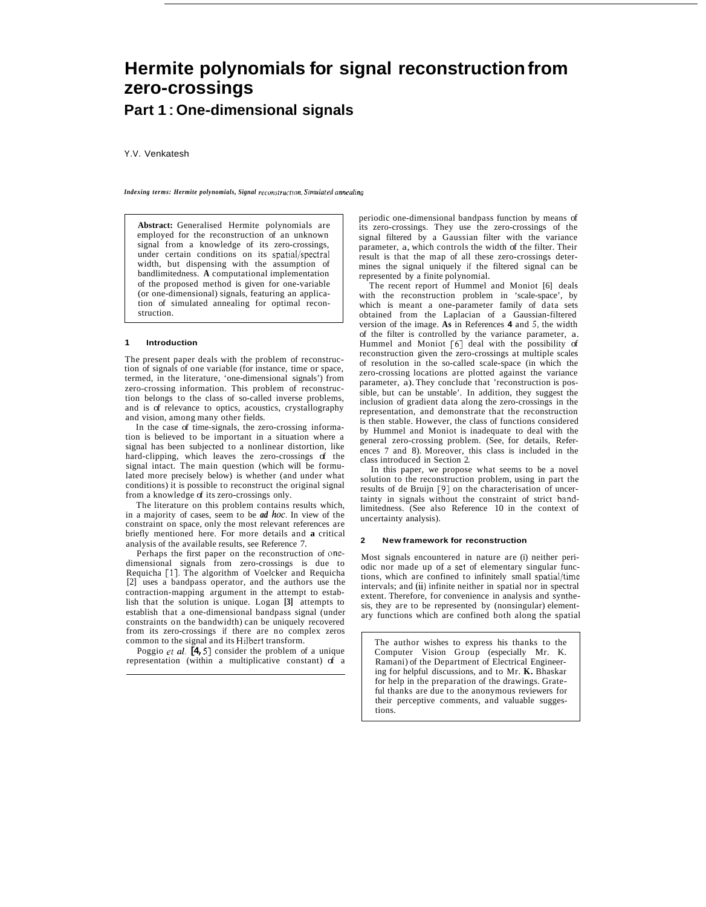# **Hermite polynomials for signal reconstruction from zero-crossings**

## **Part 1** : **One-dimensional signals**

Y.V. Venkatesh

*Indexing terms: Hermite polynomials, Signal reconstruction, Simulated annealing* 

**Abstract:** Generalised Hermite polynomials are employed for the reconstruction of an unknown signal from a knowledge of its zero-crossings, under certain conditions on its spatial/spectral width, but dispensing with the assumption of bandlimitedness. **A** computational implementation of the proposed method is given for one-variable (or one-dimensional) signals, featuring an application of simulated annealing for optimal reconstruction.

#### **1 Introduction**

The present paper deals with the problem of reconstruction of signals of one variable (for instance, time or space, termed, in the literature, 'one-dimensional signals') from zero-crossing information. This problem of reconstruction belongs to the class of so-called inverse problems, and is of relevance to optics, acoustics, crystallography and vision, among many other fields.

In the case of time-signals, the zero-crossing information is believed to be important in a situation where a signal has been subjected to a nonlinear distortion, like hard-clipping, which leaves the zero-crossings of the signal intact. The main question (which will be formulated more precisely below) is whether (and under what conditions) it is possible to reconstruct the original signal from a knowledge of its zero-crossings only.

The literature on this problem contains results which, in a majority of cases, seem to be *ad hoc.* In view of the constraint on space, only the most relevant references are briefly mentioned here. For more details and **a** critical analysis of the available results, see Reference 7.

Perhaps the first paper on the reconstruction of onedimensional signals from zero-crossings is due to Requicha [l]. The algorithm of Voelcker and Requicha [2] uses a bandpass operator, and the authors use the contraction-mapping argument in the attempt to establish that the solution is unique. Logan **[3]** attempts to establish that a one-dimensional bandpass signal (under constraints on the bandwidth) can be uniquely recovered from its zero-crossings if there are no complex zeros common to the signal and its Hilbert transform.

Poggio *et al.* [4,5] consider the problem of a unique representation (within a multiplicative constant) of a

periodic one-dimensional bandpass function by means of its zero-crossings. They use the zero-crossings of the signal filtered by a Gaussian filter with the variance parameter, a, which controls the width of the filter. Their result is that the map of all these zero-crossings determines the signal uniquely if the filtered signal can be represented by a finite polynomial.

The recent report of Hummel and Moniot [6] deals with the reconstruction problem in 'scale-space', by which is meant a one-parameter family of data sets obtained from the Laplacian of a Gaussian-filtered version of the image. **As** in References **4** and *5,* the width of the filter is controlled by the variance parameter, a. Hummel and Moniot [6] deal with the possibility of reconstruction given the zero-crossings at multiple scales of resolution in the so-called scale-space (in which the zero-crossing locations are plotted against the variance parameter, a). They conclude that 'reconstruction is possible, but can be unstable'. In addition, they suggest the inclusion of gradient data along the zero-crossings in the representation, and demonstrate that the reconstruction is then stable. However, the class of functions considered by Hummel and Moniot is inadequate to deal with the general zero-crossing problem. (See, for details, References 7 and 8). Moreover, this class is included in the class introduced in Section 2.

In this paper, we propose what seems to be a novel solution to the reconstruction problem, using in part the results of de Bruijn [9] on the characterisation of uncertainty in signals without the constraint of strict bandlimitedness. (See also Reference 10 in the context of uncertainty analysis).

#### **2 New framework for reconstruction**

Most signals encountered in nature are (i) neither periodic nor made up of a set of elementary singular functions, which are confined to infinitely small spatial/time intervals; and (ii) infinite neither in spatial nor in spectral extent. Therefore, for convenience in analysis and synthesis, they are to be represented by (nonsingular) elementary functions which are confined both along the spatial

The author wishes to express his thanks to the Computer Vision Group (especially Mr. K. Ramani) of the Department of Electrical Engineering for helpful discussions, and to Mr. **K.** Bhaskar for help in the preparation of the drawings. Grateful thanks are due to the anonymous reviewers for their perceptive comments, and valuable suggestions.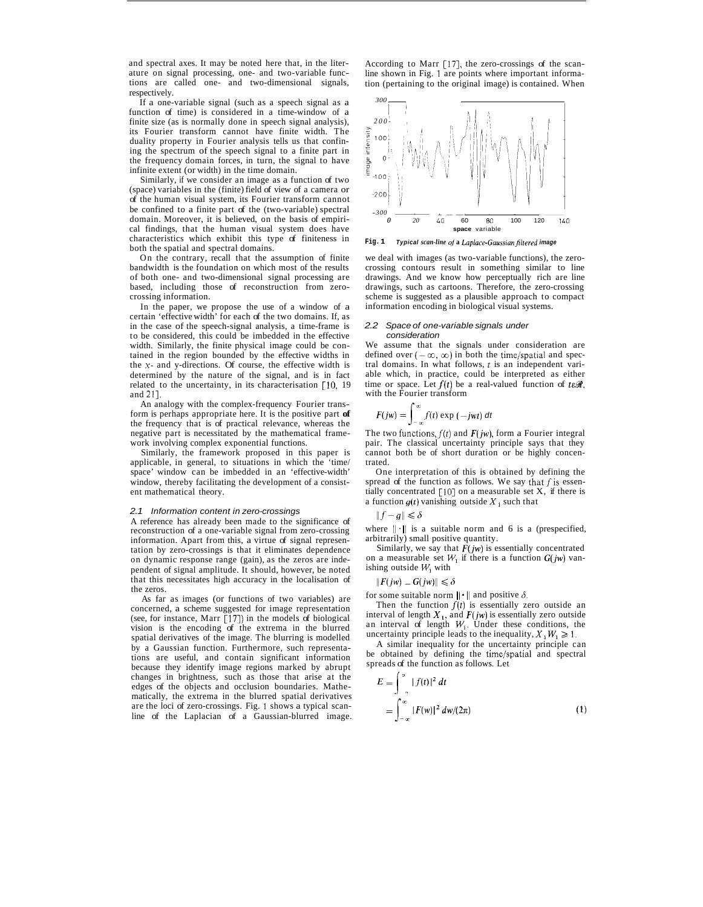and spectral axes. It may be noted here that, in the literature on signal processing, one- and two-variable functions are called one- and two-dimensional signals, respectively.

If a one-variable signal (such as a speech signal as a function of time) is considered in a time-window of a finite size (as is normally done in speech signal analysis), its Fourier transform cannot have finite width. The duality property in Fourier analysis tells us that confining the spectrum of the speech signal to a finite part in the frequency domain forces, in turn, the signal to have infinite extent (or width) in the time domain.

Similarly, if we consider an image as a function of two (space) variables in the (finite) field of view of a camera or of the human visual system, its Fourier transform cannot be confined to a finite part of the (two-variable) spectral domain. Moreover, it is believed, on the basis of empirical findings, that the human visual system does have characteristics which exhibit this type of finiteness in both the spatial and spectral domains.

On the contrary, recall that the assumption of finite bandwidth is the foundation on which most of the results of both one- and two-dimensional signal processing are based, including those of reconstruction from zerocrossing information.

In the paper, we propose the use of a window of a certain 'effective width' for each of the two domains. If, as in the case of the speech-signal analysis, a time-frame is to be considered, this could be imbedded in the effective width. Similarly, the finite physical image could be contained in the region bounded by the effective widths in the **x-** and y-directions. Of course, the effective width is determined by the nature of the signal, and is in fact related to the uncertainty, in its characterisation  $\lceil 10, 19 \rceil$ and 211.

An analogy with the complex-frequency Fourier transform is perhaps appropriate here. It is the positive part **of**  the frequency that is of practical relevance, whereas the negative part is necessitated by the mathematical framework involving complex exponential functions.

Similarly, the framework proposed in this paper is applicable, in general, to situations in which the 'time/ space' window can be imbedded in an 'effective-width' window, thereby facilitating the development of a consistent mathematical theory.

#### *2.1 Information content in zero-crossings*

A reference has already been made to the significance of reconstruction of a one-variable signal from zero-crossing information. Apart from this, a virtue of signal representation by zero-crossings is that it eliminates dependence on dynamic response range (gain), as the zeros are independent of signal amplitude. It should, however, be noted that this necessitates high accuracy in the localisation of the zeros.

As far as images (or functions of two variables) are concerned, a scheme suggested for image representation (see, for instance, Marr [17]) in the models of biological vision is the encoding of the extrema in the blurred spatial derivatives of the image. The blurring is modelled by a Gaussian function. Furthermore, such representations are useful, and contain significant information because they identify image regions marked by abrupt changes in brightness, such as those that arise at the edges of the objects and occlusion boundaries. Mathematically, the extrema in the blurred spatial derivatives are the loci of zero-crossings. Fig. 1 shows a typical scanline of the Laplacian of a Gaussian-blurred image.

According to Marr [17], the zero-crossings of the scanline shown in Fig. 1 are points where important information (pertaining to the original image) is contained. When



**Fig. 1** *Typical scan-line* of **a** *Laplace-Guussian~ltered image* 

we deal with images (as two-variable functions), the zerocrossing contours result in something similar to line drawings. And we know how perceptually rich are line drawings, such as cartoons. Therefore, the zero-crossing scheme is suggested as a plausible approach to compact information encoding in biological visual systems.

#### *2.2 Space of one-variable signals under consideration*

We assume that the signals under consideration are defined over  $(-\infty, \infty)$  in both the time/spatial and spectral domains. In what follows, *t* is an independent variable which, in practice, could be interpreted as either time or space. Let  $f(t)$  be a real-valued function of  $t \in \mathcal{R}$ , with the Fourier transform

$$
F(jw) = \int_{-\infty}^{\infty} f(t) \exp(-jwt) dt
$$

The two functions,  $f(t)$  and  $F(jw)$ , form a Fourier integral pair. The classical uncertainty principle says that they cannot both be of short duration or be highly concentrated.

One interpretation of this is obtained by defining the spread of the function as follows. We say that  $f$  is essentially concentrated  $[10]$  on a measurable set X, if there is a function  $g(t)$  vanishing outside  $X_1$  such that

$$
\|f-g\|\leqslant \delta
$$

where  $\|\cdot\|$  is a suitable norm and 6 is a (prespecified, arbitrarily) small positive quantity.

Similarly, we say that *F(jw)* is essentially concentrated on a measurable set  $W_1$  if there is a function  $G(jw)$  vanishing outside  $W_1$  with

### $\|F(jw) - G(jw)\| \le \delta$

for some suitable norm  $\|\cdot\|$  and positive  $\delta$ .

Then the function  $f(t)$  is essentially zero outside an interval of length  $X_1$ , and  $F(jw)$  is essentially zero outside an interval of length  $W_1$ . Under these conditions, the uncertainty principle leads to the inequality,  $X_1W_1 \ge 1$ .

A similar inequality for the uncertainty principle can be obtained by defining the time/spatial and spectral spreads of the function as follows. Let

$$
E = \int_{-\infty}^{\infty} |f(t)|^2 dt
$$
  
= 
$$
\int_{-\infty}^{\infty} |F(w)|^2 dw/(2\pi)
$$
 (1)